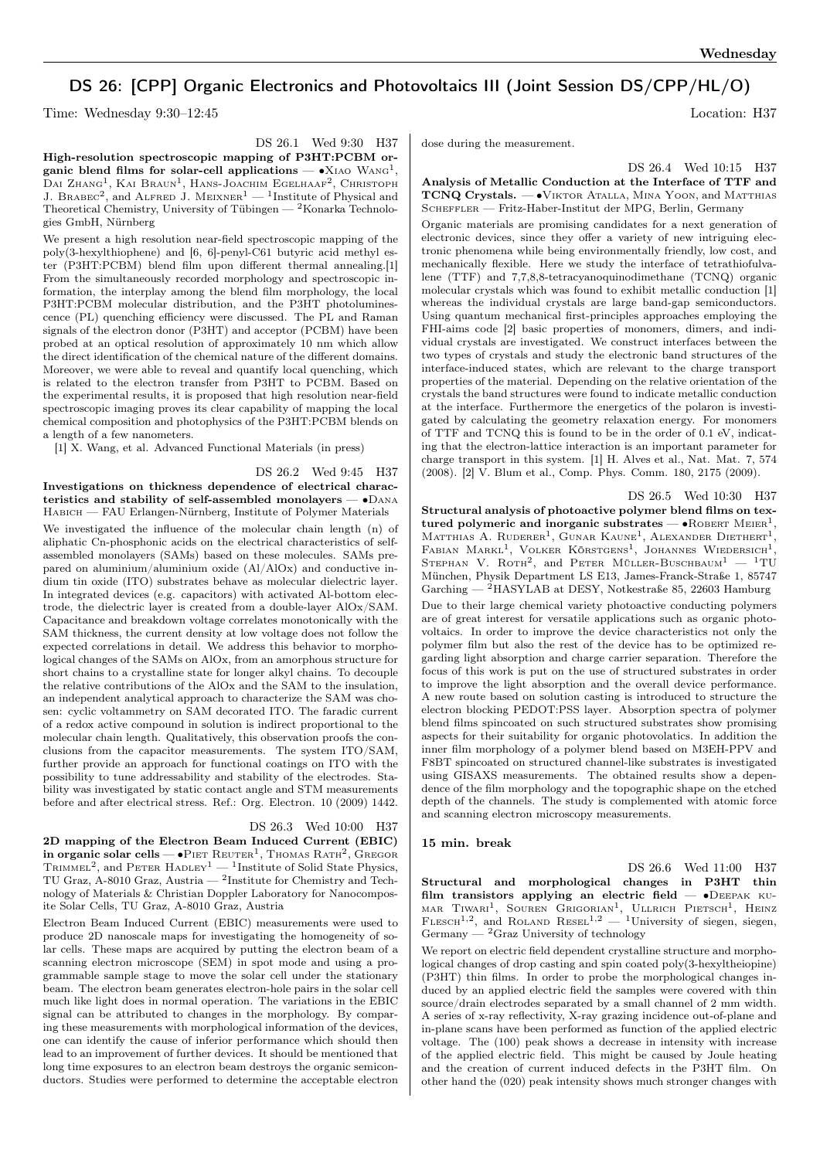# DS 26: [CPP] Organic Electronics and Photovoltaics III (Joint Session DS/CPP/HL/O)

Time: Wednesday 9:30–12:45 Location: H37

High-resolution spectroscopic mapping of P3HT:PCBM organic blend films for solar-cell applications —  $\bullet$ X<sub>IAO</sub> WANG<sup>1</sup>, Dai Zhang<sup>1</sup>, Kai Braun<sup>1</sup>, Hans-Joachim Egelhaaf<sup>2</sup>, Christoph J. BRABEC<sup>2</sup>, and ALFRED J. MEIXNER<sup>1</sup> — <sup>1</sup>Institute of Physical and Theoretical Chemistry, University of Tübingen — <sup>2</sup>Konarka Technologies GmbH, Nürnberg

We present a high resolution near-field spectroscopic mapping of the poly(3-hexylthiophene) and [6, 6]-penyl-C61 butyric acid methyl ester (P3HT:PCBM) blend film upon different thermal annealing.[1] From the simultaneously recorded morphology and spectroscopic information, the interplay among the blend film morphology, the local P3HT:PCBM molecular distribution, and the P3HT photoluminescence (PL) quenching efficiency were discussed. The PL and Raman signals of the electron donor (P3HT) and acceptor (PCBM) have been probed at an optical resolution of approximately 10 nm which allow the direct identification of the chemical nature of the different domains. Moreover, we were able to reveal and quantify local quenching, which is related to the electron transfer from P3HT to PCBM. Based on the experimental results, it is proposed that high resolution near-field spectroscopic imaging proves its clear capability of mapping the local chemical composition and photophysics of the P3HT:PCBM blends on a length of a few nanometers.

[1] X. Wang, et al. Advanced Functional Materials (in press)

DS 26.2 Wed 9:45 H37 Investigations on thickness dependence of electrical characteristics and stability of self-assembled monolayers — ∙Dana Habich — FAU Erlangen-Nürnberg, Institute of Polymer Materials

We investigated the influence of the molecular chain length (n) of aliphatic Cn-phosphonic acids on the electrical characteristics of selfassembled monolayers (SAMs) based on these molecules. SAMs prepared on aluminium/aluminium oxide (Al/AlOx) and conductive indium tin oxide (ITO) substrates behave as molecular dielectric layer. In integrated devices (e.g. capacitors) with activated Al-bottom electrode, the dielectric layer is created from a double-layer AlOx/SAM. Capacitance and breakdown voltage correlates monotonically with the SAM thickness, the current density at low voltage does not follow the expected correlations in detail. We address this behavior to morphological changes of the SAMs on AlOx, from an amorphous structure for short chains to a crystalline state for longer alkyl chains. To decouple the relative contributions of the AlOx and the SAM to the insulation, an independent analytical approach to characterize the SAM was chosen: cyclic voltammetry on SAM decorated ITO. The faradic current of a redox active compound in solution is indirect proportional to the molecular chain length. Qualitatively, this observation proofs the conclusions from the capacitor measurements. The system ITO/SAM, further provide an approach for functional coatings on ITO with the possibility to tune addressability and stability of the electrodes. Stability was investigated by static contact angle and STM measurements before and after electrical stress. Ref.: Org. Electron. 10 (2009) 1442.

# DS 26.3 Wed 10:00 H37

2D mapping of the Electron Beam Induced Current (EBIC) in organic solar cells —  $\bullet$ PIET REUTER<sup>1</sup>, THOMAS RATH<sup>2</sup>, GREGOR TRIMMEL<sup>2</sup>, and PETER HADLEY<sup>1</sup> — <sup>1</sup>Institute of Solid State Physics, TU Graz, A-8010 Graz, Austria — <sup>2</sup> Institute for Chemistry and Technology of Materials & Christian Doppler Laboratory for Nanocomposite Solar Cells, TU Graz, A-8010 Graz, Austria

Electron Beam Induced Current (EBIC) measurements were used to produce 2D nanoscale maps for investigating the homogeneity of solar cells. These maps are acquired by putting the electron beam of a scanning electron microscope (SEM) in spot mode and using a programmable sample stage to move the solar cell under the stationary beam. The electron beam generates electron-hole pairs in the solar cell much like light does in normal operation. The variations in the EBIC signal can be attributed to changes in the morphology. By comparing these measurements with morphological information of the devices, one can identify the cause of inferior performance which should then lead to an improvement of further devices. It should be mentioned that long time exposures to an electron beam destroys the organic semiconductors. Studies were performed to determine the acceptable electron dose during the measurement.

DS 26.4 Wed 10:15 H37

## Analysis of Metallic Conduction at the Interface of TTF and TCNQ Crystals. — • VIKTOR ATALLA, MINA YOON, and MATTHIAS SCHEFFLER — Fritz-Haber-Institut der MPG, Berlin, Germany

Organic materials are promising candidates for a next generation of electronic devices, since they offer a variety of new intriguing electronic phenomena while being environmentally friendly, low cost, and mechanically flexible. Here we study the interface of tetrathiofulvalene (TTF) and 7,7,8,8-tetracyanoquinodimethane (TCNQ) organic molecular crystals which was found to exhibit metallic conduction [1] whereas the individual crystals are large band-gap semiconductors. Using quantum mechanical first-principles approaches employing the FHI-aims code [2] basic properties of monomers, dimers, and individual crystals are investigated. We construct interfaces between the two types of crystals and study the electronic band structures of the interface-induced states, which are relevant to the charge transport properties of the material. Depending on the relative orientation of the crystals the band structures were found to indicate metallic conduction at the interface. Furthermore the energetics of the polaron is investigated by calculating the geometry relaxation energy. For monomers of TTF and TCNQ this is found to be in the order of 0.1 eV, indicating that the electron-lattice interaction is an important parameter for charge transport in this system. [1] H. Alves et al., Nat. Mat. 7, 574 (2008). [2] V. Blum et al., Comp. Phys. Comm. 180, 2175 (2009).

DS 26.5 Wed 10:30 H37

Structural analysis of photoactive polymer blend films on textured polymeric and inorganic substrates —  $\bullet$ ROBERT MEIER<sup>1</sup>, MATTHIAS A. RUDERER<sup>1</sup>, GUNAR KAUNE<sup>1</sup>, ALEXANDER DIETHERT<sup>1</sup>, FABIAN MARKL<sup>1</sup>, VOLKER KÖRSTGENS<sup>1</sup>, JOHANNES WIEDERSICH<sup>1</sup>, STEPHAN V. ROTH<sup>2</sup>, and PETER MÜLLER-BUSCHBAUM<sup>1</sup> - <sup>1</sup>TU München, Physik Department LS E13, James-Franck-Straße 1, 85747 Garching  $-$  <sup>2</sup>HASYLAB at DESY, Notkestraße 85, 22603 Hamburg

Due to their large chemical variety photoactive conducting polymers are of great interest for versatile applications such as organic photovoltaics. In order to improve the device characteristics not only the polymer film but also the rest of the device has to be optimized regarding light absorption and charge carrier separation. Therefore the focus of this work is put on the use of structured substrates in order to improve the light absorption and the overall device performance. A new route based on solution casting is introduced to structure the electron blocking PEDOT:PSS layer. Absorption spectra of polymer blend films spincoated on such structured substrates show promising aspects for their suitability for organic photovolatics. In addition the inner film morphology of a polymer blend based on M3EH-PPV and F8BT spincoated on structured channel-like substrates is investigated using GISAXS measurements. The obtained results show a dependence of the film morphology and the topographic shape on the etched depth of the channels. The study is complemented with atomic force and scanning electron microscopy measurements.

## 15 min. break

DS 26.6 Wed 11:00 H37 Structural and morphological changes in P3HT thin film transistors applying an electric field — ∙Deepak ku-MAR TIWARI<sup>1</sup>, SOUREN GRIGORIAN<sup>1</sup>, ULLRICH PIETSCH<sup>1</sup>, HEINZ<br>FLESCH<sup>1,2</sup>, and ROLAND RESEL<sup>1,2</sup> — <sup>1</sup>University of siegen, siegen, Germany —  ${}^{2}$ Graz University of technology

We report on electric field dependent crystalline structure and morphological changes of drop casting and spin coated poly(3-hexyltheiopine) (P3HT) thin films. In order to probe the morphological changes induced by an applied electric field the samples were covered with thin source/drain electrodes separated by a small channel of 2 mm width. A series of x-ray reflectivity, X-ray grazing incidence out-of-plane and in-plane scans have been performed as function of the applied electric voltage. The (100) peak shows a decrease in intensity with increase of the applied electric field. This might be caused by Joule heating and the creation of current induced defects in the P3HT film. On other hand the (020) peak intensity shows much stronger changes with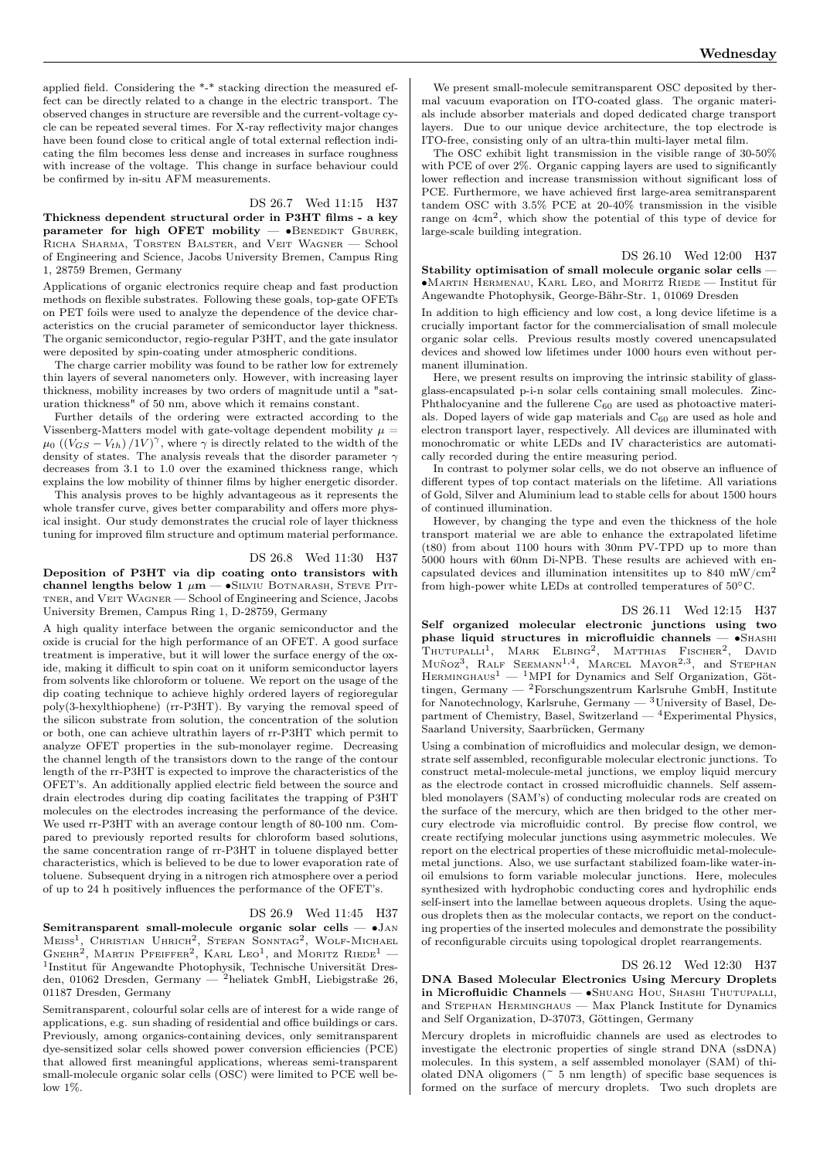applied field. Considering the \*-\* stacking direction the measured effect can be directly related to a change in the electric transport. The observed changes in structure are reversible and the current-voltage cycle can be repeated several times. For X-ray reflectivity major changes have been found close to critical angle of total external reflection indicating the film becomes less dense and increases in surface roughness with increase of the voltage. This change in surface behaviour could

#### DS 26.7 Wed 11:15 H37

Thickness dependent structural order in P3HT films - a key parameter for high OFET mobility —  $\bullet$ BENEDIKT GBUREK, Richa Sharma, Torsten Balster, and Veit Wagner — School of Engineering and Science, Jacobs University Bremen, Campus Ring 1, 28759 Bremen, Germany

be confirmed by in-situ AFM measurements.

Applications of organic electronics require cheap and fast production methods on flexible substrates. Following these goals, top-gate OFETs on PET foils were used to analyze the dependence of the device characteristics on the crucial parameter of semiconductor layer thickness. The organic semiconductor, regio-regular P3HT, and the gate insulator were deposited by spin-coating under atmospheric conditions.

The charge carrier mobility was found to be rather low for extremely thin layers of several nanometers only. However, with increasing layer thickness, mobility increases by two orders of magnitude until a "saturation thickness" of 50 nm, above which it remains constant.

Further details of the ordering were extracted according to the Vissenberg-Matters model with gate-voltage dependent mobility  $\mu =$  $\mu_0 \left( \left( V_{GS} - V_{th} \right) / 1 V \right)^{\gamma}$ , where  $\gamma$  is directly related to the width of the density of states. The analysis reveals that the disorder parameter  $\gamma$ decreases from 3.1 to 1.0 over the examined thickness range, which explains the low mobility of thinner films by higher energetic disorder.

This analysis proves to be highly advantageous as it represents the whole transfer curve, gives better comparability and offers more physical insight. Our study demonstrates the crucial role of layer thickness tuning for improved film structure and optimum material performance.

# DS 26.8 Wed 11:30 H37

Deposition of P3HT via dip coating onto transistors with channel lengths below 1  $\mu$ m — •SILVIU BOTNARASH, STEVE PITtner, and Veit Wagner — School of Engineering and Science, Jacobs University Bremen, Campus Ring 1, D-28759, Germany

A high quality interface between the organic semiconductor and the oxide is crucial for the high performance of an OFET. A good surface treatment is imperative, but it will lower the surface energy of the oxide, making it difficult to spin coat on it uniform semiconductor layers from solvents like chloroform or toluene. We report on the usage of the dip coating technique to achieve highly ordered layers of regioregular poly(3-hexylthiophene) (rr-P3HT). By varying the removal speed of the silicon substrate from solution, the concentration of the solution or both, one can achieve ultrathin layers of rr-P3HT which permit to analyze OFET properties in the sub-monolayer regime. Decreasing the channel length of the transistors down to the range of the contour length of the rr-P3HT is expected to improve the characteristics of the OFET's. An additionally applied electric field between the source and drain electrodes during dip coating facilitates the trapping of P3HT molecules on the electrodes increasing the performance of the device. We used rr-P3HT with an average contour length of 80-100 nm. Compared to previously reported results for chloroform based solutions, the same concentration range of rr-P3HT in toluene displayed better characteristics, which is believed to be due to lower evaporation rate of toluene. Subsequent drying in a nitrogen rich atmosphere over a period of up to 24 h positively influences the performance of the OFET's.

# DS 26.9 Wed 11:45 H37

Semitransparent small-molecule organic solar cells — ∙Jan Meiss<sup>1</sup>, Christian Uhrich<sup>2</sup>, Stefan Sonntag<sup>2</sup>, Wolf-Michael<br>Gnehr<sup>2</sup>, Martin Pfeiffer<sup>2</sup>, Karl Leo<sup>1</sup>, and Moritz Riede<sup>1</sup> — 1 Institut für Angewandte Photophysik, Technische Universität Dresden, 01062 Dresden, Germany — <sup>2</sup>heliatek GmbH, Liebigstraße 26, 01187 Dresden, Germany

Semitransparent, colourful solar cells are of interest for a wide range of applications, e.g. sun shading of residential and office buildings or cars. Previously, among organics-containing devices, only semitransparent dye-sensitized solar cells showed power conversion efficiencies (PCE) that allowed first meaningful applications, whereas semi-transparent small-molecule organic solar cells (OSC) were limited to PCE well below 1%.

We present small-molecule semitransparent OSC deposited by thermal vacuum evaporation on ITO-coated glass. The organic materials include absorber materials and doped dedicated charge transport layers. Due to our unique device architecture, the top electrode is ITO-free, consisting only of an ultra-thin multi-layer metal film.

The OSC exhibit light transmission in the visible range of 30-50% with PCE of over 2%. Organic capping layers are used to significantly lower reflection and increase transmission without significant loss of PCE. Furthermore, we have achieved first large-area semitransparent tandem OSC with 3.5% PCE at 20-40% transmission in the visible range on 4cm<sup>2</sup> , which show the potential of this type of device for large-scale building integration.

#### DS 26.10 Wed 12:00 H37

Stability optimisation of small molecule organic solar cells — ∙Martin Hermenau, Karl Leo, and Moritz Riede — Institut für Angewandte Photophysik, George-Bähr-Str. 1, 01069 Dresden

In addition to high efficiency and low cost, a long device lifetime is a crucially important factor for the commercialisation of small molecule organic solar cells. Previous results mostly covered unencapsulated devices and showed low lifetimes under 1000 hours even without permanent illumination.

Here, we present results on improving the intrinsic stability of glassglass-encapsulated p-i-n solar cells containing small molecules. Zinc-Phthalocyanine and the fullerene  $C_{60}$  are used as photoactive materials. Doped layers of wide gap materials and  $C_{60}$  are used as hole and electron transport layer, respectively. All devices are illuminated with monochromatic or white LEDs and IV characteristics are automatically recorded during the entire measuring period.

In contrast to polymer solar cells, we do not observe an influence of different types of top contact materials on the lifetime. All variations of Gold, Silver and Aluminium lead to stable cells for about 1500 hours of continued illumination.

However, by changing the type and even the thickness of the hole transport material we are able to enhance the extrapolated lifetime (t80) from about 1100 hours with 30nm PV-TPD up to more than 5000 hours with 60nm Di-NPB. These results are achieved with encapsulated devices and illumination intensitites up to  $840 \text{ mW/cm}^2$ from high-power white LEDs at controlled temperatures of 50∘C.

DS 26.11 Wed 12:15 H37 Self organized molecular electronic junctions using two phase liquid structures in microfluidic channels — •SHASHI Thutupalli<sup>1</sup>, Mark Elbing<sup>2</sup>, Matthias Fischer<sup>2</sup>, David Muñoz<sup>3</sup>, RALF SEEMANN<sup>1,4</sup>, MARCEL MAYOR<sup>2,3</sup>, and STEPHAN HERMINGHAUS<sup>1</sup> — <sup>1</sup>MPI for Dynamics and Self Organization, Göttingen, Germany — <sup>2</sup>Forschungszentrum Karlsruhe GmbH, Institute for Nanotechnology, Karlsruhe, Germany —  ${}^{3}$ University of Basel, Department of Chemistry, Basel, Switzerland — <sup>4</sup>Experimental Physics, Saarland University, Saarbrücken, Germany

Using a combination of microfluidics and molecular design, we demonstrate self assembled, reconfigurable molecular electronic junctions. To construct metal-molecule-metal junctions, we employ liquid mercury as the electrode contact in crossed microfluidic channels. Self assembled monolayers (SAM's) of conducting molecular rods are created on the surface of the mercury, which are then bridged to the other mercury electrode via microfluidic control. By precise flow control, we create rectifying molecular junctions using asymmetric molecules. We report on the electrical properties of these microfluidic metal-moleculemetal junctions. Also, we use surfactant stabilized foam-like water-inoil emulsions to form variable molecular junctions. Here, molecules synthesized with hydrophobic conducting cores and hydrophilic ends self-insert into the lamellae between aqueous droplets. Using the aqueous droplets then as the molecular contacts, we report on the conducting properties of the inserted molecules and demonstrate the possibility of reconfigurable circuits using topological droplet rearrangements.

#### DS 26.12 Wed 12:30 H37

DNA Based Molecular Electronics Using Mercury Droplets in Microfluidic Channels — ∙Shuang Hou, Shashi Thutupalli, and Stephan Herminghaus — Max Planck Institute for Dynamics and Self Organization, D-37073, Göttingen, Germany

Mercury droplets in microfluidic channels are used as electrodes to investigate the electronic properties of single strand DNA (ssDNA) molecules. In this system, a self assembled monolayer (SAM) of thiolated DNA oligomers (~ 5 nm length) of specific base sequences is formed on the surface of mercury droplets. Two such droplets are